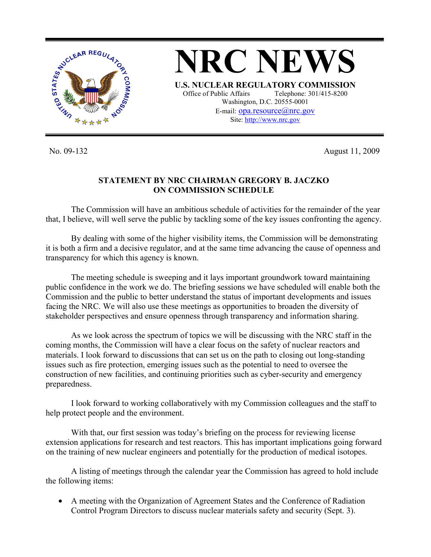

No. 09-132 August 11, 2009

## **STATEMENT BY NRC CHAIRMAN GREGORY B. JACZKO ON COMMISSION SCHEDULE**

 The Commission will have an ambitious schedule of activities for the remainder of the year that, I believe, will well serve the public by tackling some of the key issues confronting the agency.

 By dealing with some of the higher visibility items, the Commission will be demonstrating it is both a firm and a decisive regulator, and at the same time advancing the cause of openness and transparency for which this agency is known.

 The meeting schedule is sweeping and it lays important groundwork toward maintaining public confidence in the work we do. The briefing sessions we have scheduled will enable both the Commission and the public to better understand the status of important developments and issues facing the NRC. We will also use these meetings as opportunities to broaden the diversity of stakeholder perspectives and ensure openness through transparency and information sharing.

 As we look across the spectrum of topics we will be discussing with the NRC staff in the coming months, the Commission will have a clear focus on the safety of nuclear reactors and materials. I look forward to discussions that can set us on the path to closing out long-standing issues such as fire protection, emerging issues such as the potential to need to oversee the construction of new facilities, and continuing priorities such as cyber-security and emergency preparedness.

 I look forward to working collaboratively with my Commission colleagues and the staff to help protect people and the environment.

 With that, our first session was today's briefing on the process for reviewing license extension applications for research and test reactors. This has important implications going forward on the training of new nuclear engineers and potentially for the production of medical isotopes.

 A listing of meetings through the calendar year the Commission has agreed to hold include the following items:

• A meeting with the Organization of Agreement States and the Conference of Radiation Control Program Directors to discuss nuclear materials safety and security (Sept. 3).